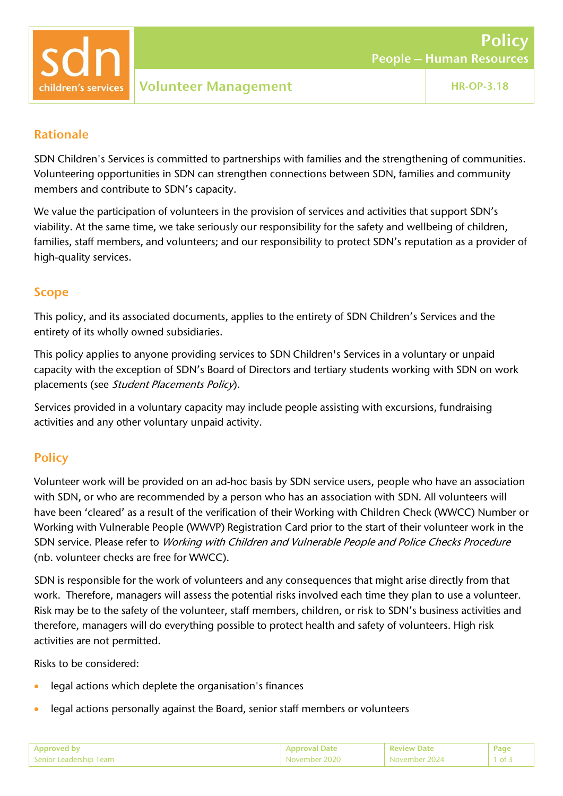

### Rationale

SDN Children's Services is committed to partnerships with families and the strengthening of communities. Volunteering opportunities in SDN can strengthen connections between SDN, families and community members and contribute to SDN's capacity.

We value the participation of volunteers in the provision of services and activities that support SDN's viability. At the same time, we take seriously our responsibility for the safety and wellbeing of children, families, staff members, and volunteers; and our responsibility to protect SDN's reputation as a provider of high-quality services.

## Scope

This policy, and its associated documents, applies to the entirety of SDN Children's Services and the entirety of its wholly owned subsidiaries.

This policy applies to anyone providing services to SDN Children's Services in a voluntary or unpaid capacity with the exception of SDN's Board of Directors and tertiary students working with SDN on work placements (see Student Placements Policy).

Services provided in a voluntary capacity may include people assisting with excursions, fundraising activities and any other voluntary unpaid activity.

# **Policy**

Volunteer work will be provided on an ad-hoc basis by SDN service users, people who have an association with SDN, or who are recommended by a person who has an association with SDN. All volunteers will have been 'cleared' as a result of the verification of their Working with Children Check (WWCC) Number or Working with Vulnerable People (WWVP) Registration Card prior to the start of their volunteer work in the SDN service. Please refer to Working with Children and Vulnerable People and Police Checks Procedure (nb. volunteer checks are free for WWCC).

SDN is responsible for the work of volunteers and any consequences that might arise directly from that work. Therefore, managers will assess the potential risks involved each time they plan to use a volunteer. Risk may be to the safety of the volunteer, staff members, children, or risk to SDN's business activities and therefore, managers will do everything possible to protect health and safety of volunteers. High risk activities are not permitted.

Risks to be considered:

- legal actions which deplete the organisation's finances
- legal actions personally against the Board, senior staff members or volunteers

| Annroved by              | лате:         | <b>Review Date</b> | 'ag |
|--------------------------|---------------|--------------------|-----|
| 1 Senior Leadership Team | November 2020 | November           |     |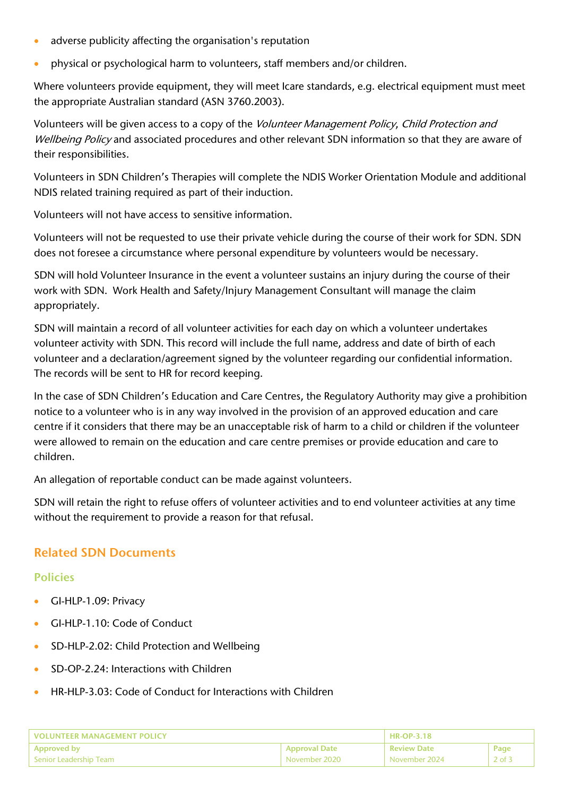- adverse publicity affecting the organisation's reputation
- physical or psychological harm to volunteers, staff members and/or children.

Where volunteers provide equipment, they will meet Icare standards, e.g. electrical equipment must meet the appropriate Australian standard (ASN 3760.2003).

Volunteers will be given access to a copy of the Volunteer Management Policy, Child Protection and Wellbeing Policy and associated procedures and other relevant SDN information so that they are aware of their responsibilities.

Volunteers in SDN Children's Therapies will complete the NDIS Worker Orientation Module and additional NDIS related training required as part of their induction.

Volunteers will not have access to sensitive information.

Volunteers will not be requested to use their private vehicle during the course of their work for SDN. SDN does not foresee a circumstance where personal expenditure by volunteers would be necessary.

SDN will hold Volunteer Insurance in the event a volunteer sustains an injury during the course of their work with SDN. Work Health and Safety/Injury Management Consultant will manage the claim appropriately.

SDN will maintain a record of all volunteer activities for each day on which a volunteer undertakes volunteer activity with SDN. This record will include the full name, address and date of birth of each volunteer and a declaration/agreement signed by the volunteer regarding our confidential information. The records will be sent to HR for record keeping.

In the case of SDN Children's Education and Care Centres, the Regulatory Authority may give a prohibition notice to a volunteer who is in any way involved in the provision of an approved education and care centre if it considers that there may be an unacceptable risk of harm to a child or children if the volunteer were allowed to remain on the education and care centre premises or provide education and care to children.

An allegation of reportable conduct can be made against volunteers.

SDN will retain the right to refuse offers of volunteer activities and to end volunteer activities at any time without the requirement to provide a reason for that refusal.

## Related SDN Documents

#### Policies

- GI-HLP-1.09: Privacy
- GI-HLP-1.10: Code of Conduct
- SD-HLP-2.02: Child Protection and Wellbeing
- SD-OP-2.24: Interactions with Children
- HR-HLP-3.03: Code of Conduct for Interactions with Children

| VOLUNTEER MANAGEMENT POLICY |                      | <b>HR-OP-3.18</b>  |          |
|-----------------------------|----------------------|--------------------|----------|
| <b>Approved by</b>          | <b>Approval Date</b> | <b>Review Date</b> | Page     |
| Senior Leadership Team      | November 2020        | November 2024      | $2$ of 3 |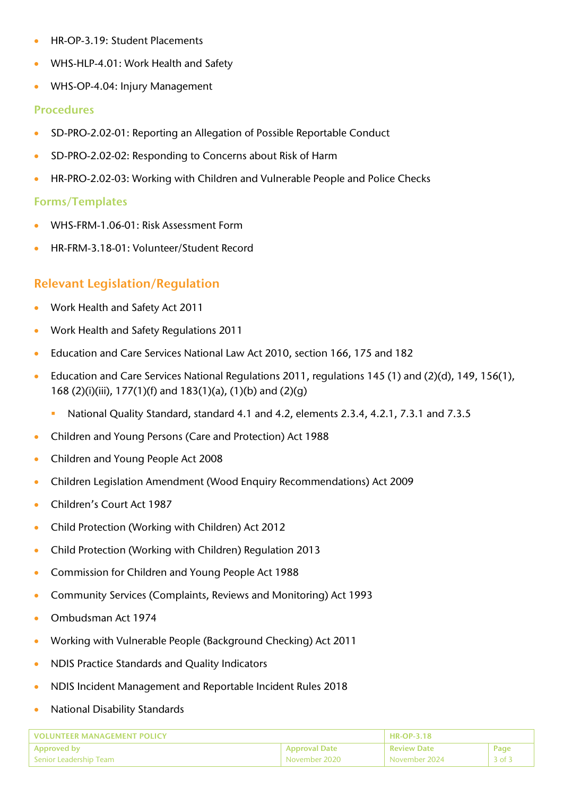- HR-OP-3.19: Student Placements
- WHS-HLP-4.01: Work Health and Safety
- WHS-OP-4.04: Injury Management

#### Procedures

- SD-PRO-2.02-01: Reporting an Allegation of Possible Reportable Conduct
- SD-PRO-2.02-02: Responding to Concerns about Risk of Harm
- HR-PRO-2.02-03: Working with Children and Vulnerable People and Police Checks

#### Forms/Templates

- WHS-FRM-1.06-01: Risk Assessment Form
- HR-FRM-3.18-01: Volunteer/Student Record

## Relevant Legislation/Regulation

- Work Health and Safety Act 2011
- Work Health and Safety Regulations 2011
- Education and Care Services National Law Act 2010, section 166, 175 and 182
- Education and Care Services National Regulations 2011, regulations 145 (1) and (2)(d), 149, 156(1), 168 (2)(i)(iii), 177(1)(f) and 183(1)(a), (1)(b) and (2)(g)
	- National Quality Standard, standard 4.1 and 4.2, elements 2.3.4, 4.2.1, 7.3.1 and 7.3.5
- Children and Young Persons (Care and Protection) Act 1988
- Children and Young People Act 2008
- Children Legislation Amendment (Wood Enquiry Recommendations) Act 2009
- Children's Court Act 1987
- Child Protection (Working with Children) Act 2012
- Child Protection (Working with Children) Regulation 2013
- Commission for Children and Young People Act 1988
- Community Services (Complaints, Reviews and Monitoring) Act 1993
- Ombudsman Act 1974
- Working with Vulnerable People (Background Checking) Act 2011
- NDIS Practice Standards and Quality Indicators
- NDIS Incident Management and Reportable Incident Rules 2018
- National Disability Standards

| VOLUNTEER MANAGEMENT POLICY |                            | $H$ HR-OP-3.18     |            |
|-----------------------------|----------------------------|--------------------|------------|
| <b>Approved by</b>          | <b>Approval Date</b>       | <b>Review Date</b> | Page       |
| Senior Leadership Team      | November 2020 <sup>'</sup> | November 2024      | $3$ of $3$ |